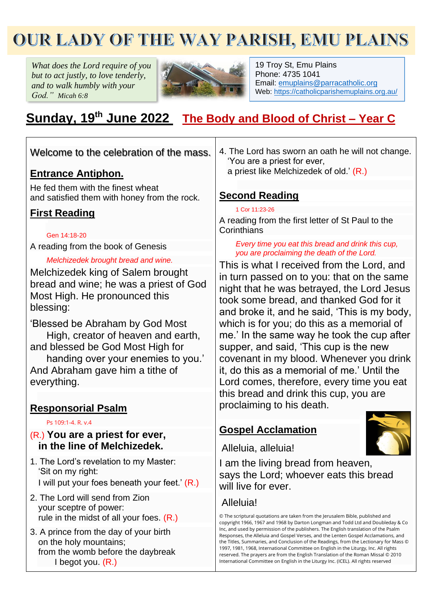# OUR LADY OF THE WAY PARISH, EMU PLAINS

*What does the Lord require of you but to act justly, to love tenderly, and to walk humbly with your God." Micah 6:8*



19 Troy St, Emu Plains Phone: 4735 1041 Email: [emuplains@parracatholic.org](mailto:emuplains@parracatholic.org) Web:<https://catholicparishemuplains.org.au/>

# **Sunday, 19 th June 2022 The Body and Blood of Christ – Year C**

| Welcome to the celebration of the mass.                                                                                      | 4. The Lord has sworn an oath he will not change.<br>'You are a priest for ever,                                                                                                                                                                                                                                                                                                                                                                                                                                                                                                                                         |  |
|------------------------------------------------------------------------------------------------------------------------------|--------------------------------------------------------------------------------------------------------------------------------------------------------------------------------------------------------------------------------------------------------------------------------------------------------------------------------------------------------------------------------------------------------------------------------------------------------------------------------------------------------------------------------------------------------------------------------------------------------------------------|--|
| <u>Entrance Antiphon.</u>                                                                                                    | a priest like Melchizedek of old.' (R.)                                                                                                                                                                                                                                                                                                                                                                                                                                                                                                                                                                                  |  |
| He fed them with the finest wheat<br>and satisfied them with honey from the rock.                                            | <b>Second Reading</b>                                                                                                                                                                                                                                                                                                                                                                                                                                                                                                                                                                                                    |  |
| <b>First Reading</b>                                                                                                         | 1 Cor 11:23-26                                                                                                                                                                                                                                                                                                                                                                                                                                                                                                                                                                                                           |  |
| Gen 14:18-20                                                                                                                 | A reading from the first letter of St Paul to the<br>Corinthians                                                                                                                                                                                                                                                                                                                                                                                                                                                                                                                                                         |  |
| A reading from the book of Genesis                                                                                           | Every time you eat this bread and drink this cup,<br>you are proclaiming the death of the Lord.                                                                                                                                                                                                                                                                                                                                                                                                                                                                                                                          |  |
| Melchizedek brought bread and wine.                                                                                          | This is what I received from the Lord, and                                                                                                                                                                                                                                                                                                                                                                                                                                                                                                                                                                               |  |
| Melchizedek king of Salem brought<br>bread and wine; he was a priest of God<br>Most High. He pronounced this<br>blessing:    | in turn passed on to you: that on the same<br>night that he was betrayed, the Lord Jesus<br>took some bread, and thanked God for it<br>and broke it, and he said, 'This is my body,                                                                                                                                                                                                                                                                                                                                                                                                                                      |  |
| 'Blessed be Abraham by God Most<br>High, creator of heaven and earth,                                                        | which is for you; do this as a memorial of<br>me.' In the same way he took the cup after                                                                                                                                                                                                                                                                                                                                                                                                                                                                                                                                 |  |
| and blessed be God Most High for<br>handing over your enemies to you.'<br>And Abraham gave him a tithe of<br>everything.     | supper, and said, 'This cup is the new<br>covenant in my blood. Whenever you drink<br>it, do this as a memorial of me.' Until the<br>Lord comes, therefore, every time you eat                                                                                                                                                                                                                                                                                                                                                                                                                                           |  |
| <b>Responsorial Psalm</b>                                                                                                    | this bread and drink this cup, you are<br>proclaiming to his death.                                                                                                                                                                                                                                                                                                                                                                                                                                                                                                                                                      |  |
| Ps 109:1-4, R. v.4<br>$(R1)$ You are a priest for ever,                                                                      | <b>Gospel Acclamation</b>                                                                                                                                                                                                                                                                                                                                                                                                                                                                                                                                                                                                |  |
| in the line of Melchizedek.                                                                                                  | Alleluia, alleluia!                                                                                                                                                                                                                                                                                                                                                                                                                                                                                                                                                                                                      |  |
| 1. The Lord's revelation to my Master:<br>'Sit on my right:<br>I will put your foes beneath your feet.' (R.)                 | I am the living bread from heaven,<br>says the Lord; whoever eats this bread<br>will live for ever.                                                                                                                                                                                                                                                                                                                                                                                                                                                                                                                      |  |
| 2. The Lord will send from Zion                                                                                              | Alleluia!                                                                                                                                                                                                                                                                                                                                                                                                                                                                                                                                                                                                                |  |
| your sceptre of power:<br>rule in the midst of all your foes. $(R.)$                                                         | © The scriptural quotations are taken from the Jerusalem Bible, published and                                                                                                                                                                                                                                                                                                                                                                                                                                                                                                                                            |  |
| 3. A prince from the day of your birth<br>on the holy mountains;<br>from the womb before the daybreak<br>I begot you. $(R.)$ | copyright 1966, 1967 and 1968 by Darton Longman and Todd Ltd and Doubleday & Co<br>Inc, and used by permission of the publishers. The English translation of the Psalm<br>Responses, the Alleluia and Gospel Verses, and the Lenten Gospel Acclamations, and<br>the Titles, Summaries, and Conclusion of the Readings, from the Lectionary for Mass ©<br>1997, 1981, 1968, International Committee on English in the Liturgy, Inc. All rights<br>reserved. The prayers are from the English Translation of the Roman Missal © 2010<br>International Committee on English in the Liturgy Inc. (ICEL). All rights reserved |  |
|                                                                                                                              |                                                                                                                                                                                                                                                                                                                                                                                                                                                                                                                                                                                                                          |  |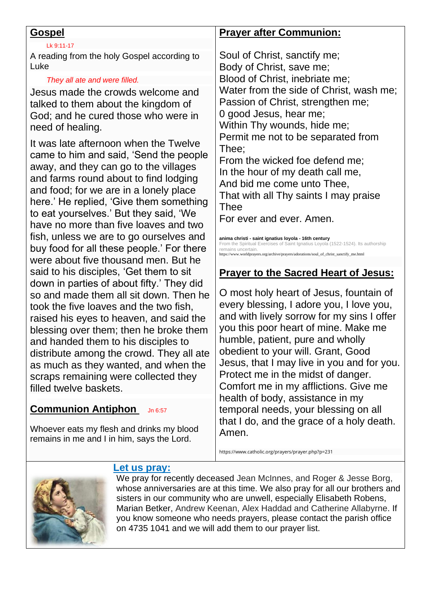| <u>Gospel</u>                                                                                                                                                                                                                                                                                                                                                                                                                                                             | <b>Prayer after Communion:</b>                                                                                                                                                                                                                                                                                                                                                                                                                                                                                                                                                                                                                                               |
|---------------------------------------------------------------------------------------------------------------------------------------------------------------------------------------------------------------------------------------------------------------------------------------------------------------------------------------------------------------------------------------------------------------------------------------------------------------------------|------------------------------------------------------------------------------------------------------------------------------------------------------------------------------------------------------------------------------------------------------------------------------------------------------------------------------------------------------------------------------------------------------------------------------------------------------------------------------------------------------------------------------------------------------------------------------------------------------------------------------------------------------------------------------|
| Lk 9:11-17                                                                                                                                                                                                                                                                                                                                                                                                                                                                |                                                                                                                                                                                                                                                                                                                                                                                                                                                                                                                                                                                                                                                                              |
| A reading from the holy Gospel according to<br>Luke                                                                                                                                                                                                                                                                                                                                                                                                                       | Soul of Christ, sanctify me;                                                                                                                                                                                                                                                                                                                                                                                                                                                                                                                                                                                                                                                 |
|                                                                                                                                                                                                                                                                                                                                                                                                                                                                           | Body of Christ, save me;                                                                                                                                                                                                                                                                                                                                                                                                                                                                                                                                                                                                                                                     |
| They all ate and were filled.<br>Jesus made the crowds welcome and<br>talked to them about the kingdom of<br>God; and he cured those who were in<br>need of healing.                                                                                                                                                                                                                                                                                                      | Blood of Christ, inebriate me;<br>Water from the side of Christ, wash me;<br>Passion of Christ, strengthen me;<br>0 good Jesus, hear me;<br>Within Thy wounds, hide me;<br>Permit me not to be separated from<br>Thee;<br>From the wicked foe defend me;<br>In the hour of my death call me,<br>And bid me come unto Thee,<br>That with all Thy saints I may praise<br><b>Thee</b><br>For ever and ever, Amen.<br>anima christi - saint ignatius loyola - 16th century<br>From the Spiritual Exercises of Saint Ignatius Loyola (1522-1524). Its authorship<br>remains uncertain.<br>https://www.worldprayers.org/archive/prayers/adorations/soul_of_christ_sanctify_me.html |
| It was late afternoon when the Twelve<br>came to him and said, 'Send the people<br>away, and they can go to the villages<br>and farms round about to find lodging<br>and food; for we are in a lonely place<br>here.' He replied, 'Give them something<br>to eat yourselves.' But they said, 'We<br>have no more than five loaves and two<br>fish, unless we are to go ourselves and<br>buy food for all these people.' For there<br>were about five thousand men. But he |                                                                                                                                                                                                                                                                                                                                                                                                                                                                                                                                                                                                                                                                              |
| said to his disciples, 'Get them to sit                                                                                                                                                                                                                                                                                                                                                                                                                                   | <b>Prayer to the Sacred Heart of Jesus:</b>                                                                                                                                                                                                                                                                                                                                                                                                                                                                                                                                                                                                                                  |
| down in parties of about fifty.' They did<br>so and made them all sit down. Then he<br>took the five loaves and the two fish,<br>raised his eyes to heaven, and said the<br>blessing over them; then he broke them<br>and handed them to his disciples to<br>distribute among the crowd. They all ate<br>as much as they wanted, and when the<br>scraps remaining were collected they<br>filled twelve baskets.                                                           | O most holy heart of Jesus, fountain of<br>every blessing, I adore you, I love you,<br>and with lively sorrow for my sins I offer<br>you this poor heart of mine. Make me<br>humble, patient, pure and wholly<br>obedient to your will. Grant, Good<br>Jesus, that I may live in you and for you.<br>Protect me in the midst of danger.<br>Comfort me in my afflictions. Give me<br>health of body, assistance in my                                                                                                                                                                                                                                                         |
| <b>Communion Antiphon</b><br>Jn 6:57                                                                                                                                                                                                                                                                                                                                                                                                                                      | temporal needs, your blessing on all                                                                                                                                                                                                                                                                                                                                                                                                                                                                                                                                                                                                                                         |

Whoever eats my flesh and drinks my blood remains in me and I in him, says the Lord.

https://www.catholic.org/prayers/prayer.php?p=231

that I do, and the grace of a holy death.



# **Let us pray:**

We pray for recently deceased Jean McInnes, and Roger & Jesse Borg, whose anniversaries are at this time. We also pray for all our brothers and sisters in our community who are unwell, especially Elisabeth Robens, Marian Betker, Andrew Keenan, Alex Haddad and Catherine Allabyrne. If you know someone who needs prayers, please contact the parish office on 4735 1041 and we will add them to our prayer list.

Amen.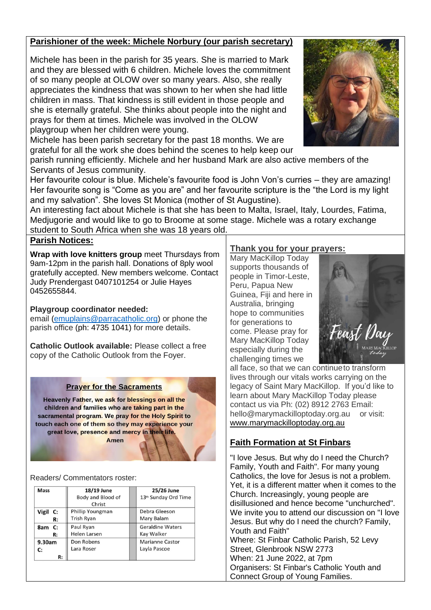#### **Parishioner of the week: Michele Norbury (our parish secretary)**

Michele has been in the parish for 35 years. She is married to Mark and they are blessed with 6 children. Michele loves the commitment of so many people at OLOW over so many years. Also, she really appreciates the kindness that was shown to her when she had little children in mass. That kindness is still evident in those people and she is eternally grateful. She thinks about people into the night and prays for them at times. Michele was involved in the OLOW playgroup when her children were young.

Michele has been parish secretary for the past 18 months. We are grateful for all the work she does behind the scenes to help keep our



parish running efficiently. Michele and her husband Mark are also active members of the Servants of Jesus community.

Her favourite colour is blue. Michele's favourite food is John Von's curries – they are amazing! Her favourite song is "Come as you are" and her favourite scripture is the "the Lord is my light and my salvation". She loves St Monica (mother of St Augustine).

An interesting fact about Michele is that she has been to Malta, Israel, Italy, Lourdes, Fatima, Medjugorie and would like to go to Broome at some stage. Michele was a rotary exchange

student to South Africa when she was 18 years old. **Parish Notices:**

**Wrap with love knitters group** meet Thursdays from 9am-12pm in the parish hall. Donations of 8ply wool gratefully accepted. New members welcome. Contact Judy Prendergast 0407101254 or Julie Hayes 0452655844.

#### **Playgroup coordinator needed:**

email [\(emuplains@parracatholic.org\)](mailto:emuplains@parracatholic.org) or phone the parish office (ph: 4735 1041) for more details.

**Catholic Outlook available:** Please collect a free copy of the Catholic Outlook from the Foyer.

#### **Prayer for the Sacraments**

Heavenly Father, we ask for blessings on all the children and families who are taking part in the sacramental program. We pray for the Holy Spirit to touch each one of them so they may experience your great love, presence and mercy in their life. Amen

Readers/ Commentators roster:

| <b>Mass</b> | 18/19 June        | 25/26 June                       |
|-------------|-------------------|----------------------------------|
|             | Body and Blood of | 13 <sup>th</sup> Sunday Ord Time |
|             | Christ            |                                  |
| Vigil C:    | Phillip Youngman  | Debra Gleeson                    |
| R:          | <b>Trish Ryan</b> | Mary Balam                       |
| 8am C:      | Paul Ryan         | <b>Geraldine Waters</b>          |
| R:          | Helen Larsen      | Kay Walker                       |
| 9.30am      | Don Robens        | Marianne Castor                  |
| C:          | Lara Roser        | Layla Pascoe                     |
| R:          |                   |                                  |

#### **Thank you for your prayers:**

Mary MacKillop Today supports thousands of people in Timor-Leste, Peru, Papua New Guinea, Fiji and here in Australia, bringing hope to communities for generations to come. Please pray for Mary MacKillop Today especially during the challenging times we



all face, so that we can continueto transform lives through our vitals works carrying on the legacy of Saint Mary MacKillop. If you'd like to learn about Mary MacKillop Today please contact us via Ph: (02) 8912 2763 Email: [hello@marymackilloptoday.org.au](mailto:hello@marymackilloptoday.org.au) or visit: [www.marymackilloptoday.org.au](http://www.marymackilloptoday.org.au/)

## **Faith Formation at St Finbars**

"I love Jesus. But why do I need the Church? Family, Youth and Faith". For many young Catholics, the love for Jesus is not a problem. Yet, it is a different matter when it comes to the Church. Increasingly, young people are disillusioned and hence become "unchurched". We invite you to attend our discussion on "I love Jesus. But why do I need the church? Family, Youth and Faith" Where: St Finbar Catholic Parish, 52 Levy Street, Glenbrook NSW 2773 When: 21 June 2022, at 7pm Organisers: St Finbar's Catholic Youth and Connect Group of Young Families.